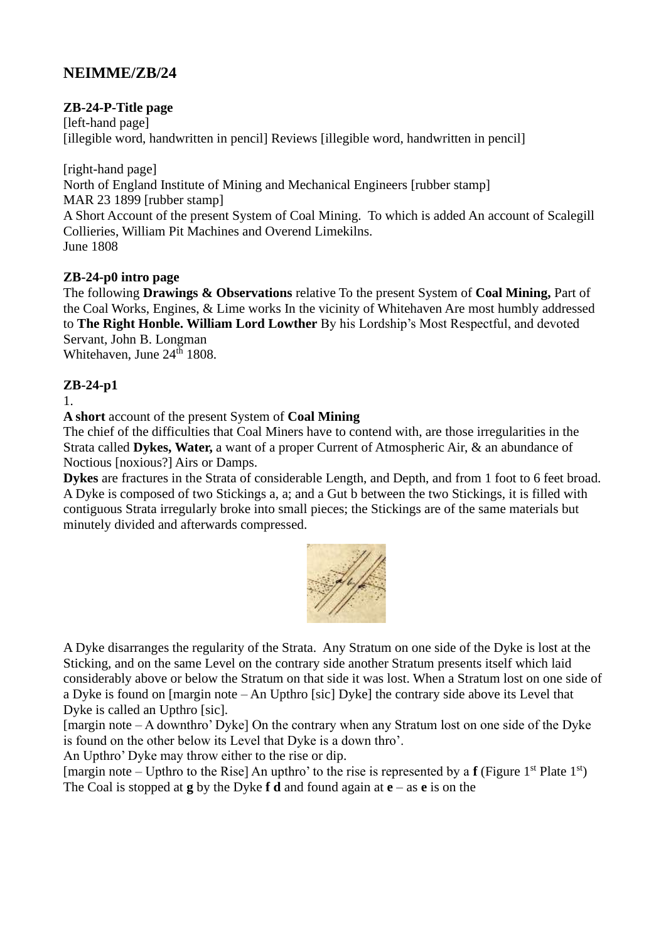## **NEIMME/ZB/24**

#### **ZB-24-P-Title page**

[left-hand page] [illegible word, handwritten in pencil] Reviews [illegible word, handwritten in pencil]

[right-hand page] North of England Institute of Mining and Mechanical Engineers [rubber stamp] MAR 23 1899 [rubber stamp] A Short Account of the present System of Coal Mining. To which is added An account of Scalegill Collieries, William Pit Machines and Overend Limekilns. June 1808

#### **ZB-24-p0 intro page**

The following **Drawings & Observations** relative To the present System of **Coal Mining,** Part of the Coal Works, Engines, & Lime works In the vicinity of Whitehaven Are most humbly addressed to **The Right Honble. William Lord Lowther** By his Lordship's Most Respectful, and devoted Servant, John B. Longman Whitehaven, June 24<sup>th</sup> 1808.

#### **ZB-24-p1**

1.

**A short** account of the present System of **Coal Mining**

The chief of the difficulties that Coal Miners have to contend with, are those irregularities in the Strata called **Dykes, Water,** a want of a proper Current of Atmospheric Air, & an abundance of Noctious [noxious?] Airs or Damps.

**Dykes** are fractures in the Strata of considerable Length, and Depth, and from 1 foot to 6 feet broad. A Dyke is composed of two Stickings a, a; and a Gut b between the two Stickings, it is filled with contiguous Strata irregularly broke into small pieces; the Stickings are of the same materials but minutely divided and afterwards compressed.



A Dyke disarranges the regularity of the Strata. Any Stratum on one side of the Dyke is lost at the Sticking, and on the same Level on the contrary side another Stratum presents itself which laid considerably above or below the Stratum on that side it was lost. When a Stratum lost on one side of a Dyke is found on [margin note – An Upthro [sic] Dyke] the contrary side above its Level that Dyke is called an Upthro [sic].

[margin note – A downthro' Dyke] On the contrary when any Stratum lost on one side of the Dyke is found on the other below its Level that Dyke is a down thro'.

An Upthro' Dyke may throw either to the rise or dip.

[margin note – Upthro to the Rise] An upthro' to the rise is represented by a **f** (Figure 1<sup>st</sup> Plate 1<sup>st</sup>) The Coal is stopped at **g** by the Dyke **f d** and found again at **e** – as **e** is on the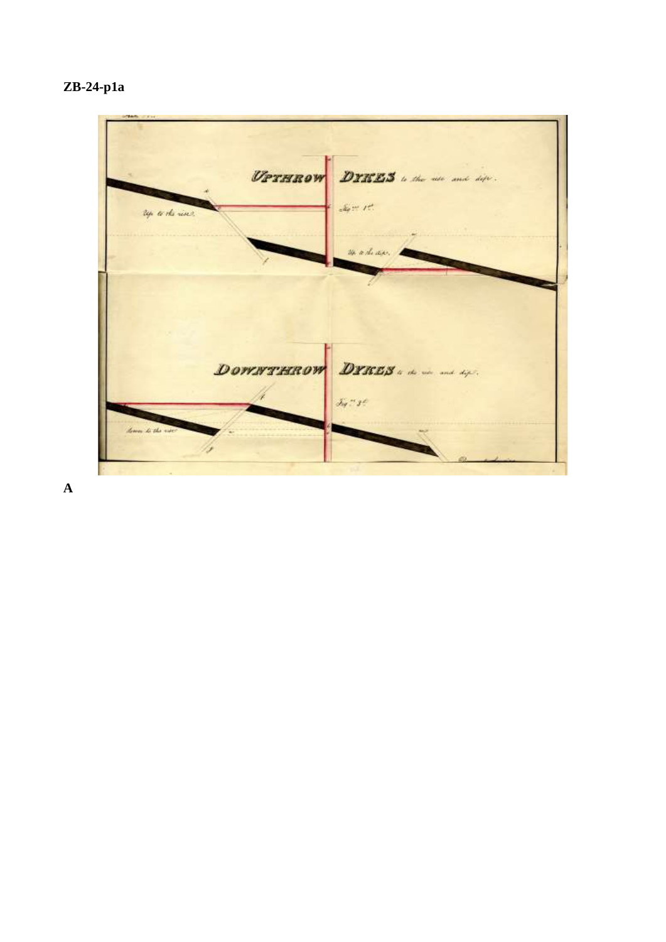



**A**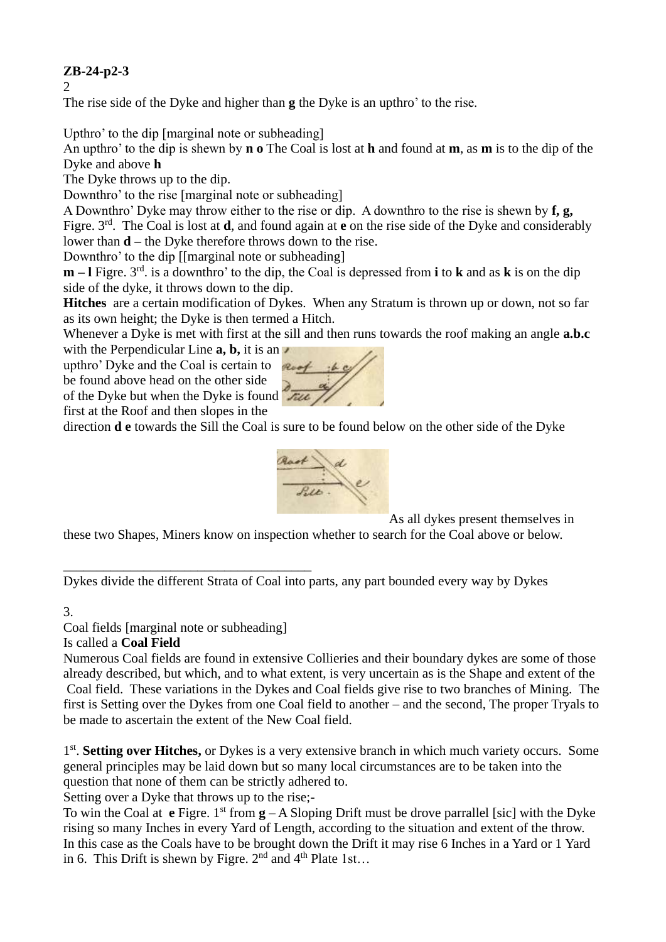## **ZB-24-p2-3**

2

The rise side of the Dyke and higher than **g** the Dyke is an upthro' to the rise.

Upthro' to the dip [marginal note or subheading]

An upthro' to the dip is shewn by **n o** The Coal is lost at **h** and found at **m**, as **m** is to the dip of the Dyke and above **h**

The Dyke throws up to the dip.

Downthro' to the rise [marginal note or subheading]

A Downthro' Dyke may throw either to the rise or dip. A downthro to the rise is shewn by **f, g,**  Figre. 3rd. The Coal is lost at **d**, and found again at **e** on the rise side of the Dyke and considerably lower than **d –** the Dyke therefore throws down to the rise.

Downthro' to the dip [[marginal note or subheading]

**m** – **l** Figre. 3<sup>rd</sup>, is a downthro' to the dip, the Coal is depressed from **i** to **k** and as **k** is on the dip side of the dyke, it throws down to the dip.

**Hitches** are a certain modification of Dykes. When any Stratum is thrown up or down, not so far as its own height; the Dyke is then termed a Hitch.

Whenever a Dyke is met with first at the sill and then runs towards the roof making an angle **a.b.c** 

with the Perpendicular Line **a, b,** it is an upthro' Dyke and the Coal is certain to be found above head on the other side of the Dyke but when the Dyke is found first at the Roof and then slopes in the





As all dykes present themselves in

these two Shapes, Miners know on inspection whether to search for the Coal above or below.

Dykes divide the different Strata of Coal into parts, any part bounded every way by Dykes

#### 3.

Coal fields [marginal note or subheading]

\_\_\_\_\_\_\_\_\_\_\_\_\_\_\_\_\_\_\_\_\_\_\_\_\_\_\_\_\_\_\_\_\_\_\_\_\_

#### Is called a **Coal Field**

Numerous Coal fields are found in extensive Collieries and their boundary dykes are some of those already described, but which, and to what extent, is very uncertain as is the Shape and extent of the Coal field. These variations in the Dykes and Coal fields give rise to two branches of Mining. The first is Setting over the Dykes from one Coal field to another – and the second, The proper Tryals to be made to ascertain the extent of the New Coal field.

1<sup>st</sup>. Setting over Hitches, or Dykes is a very extensive branch in which much variety occurs. Some general principles may be laid down but so many local circumstances are to be taken into the question that none of them can be strictly adhered to.

Setting over a Dyke that throws up to the rise;-

To win the Coal at **e** Figre. 1<sup>st</sup> from  $\mathbf{g} - A$  Sloping Drift must be drove parrallel [sic] with the Dyke rising so many Inches in every Yard of Length, according to the situation and extent of the throw. In this case as the Coals have to be brought down the Drift it may rise 6 Inches in a Yard or 1 Yard in 6. This Drift is shewn by Figre.  $2<sup>nd</sup>$  and  $4<sup>th</sup>$  Plate 1st...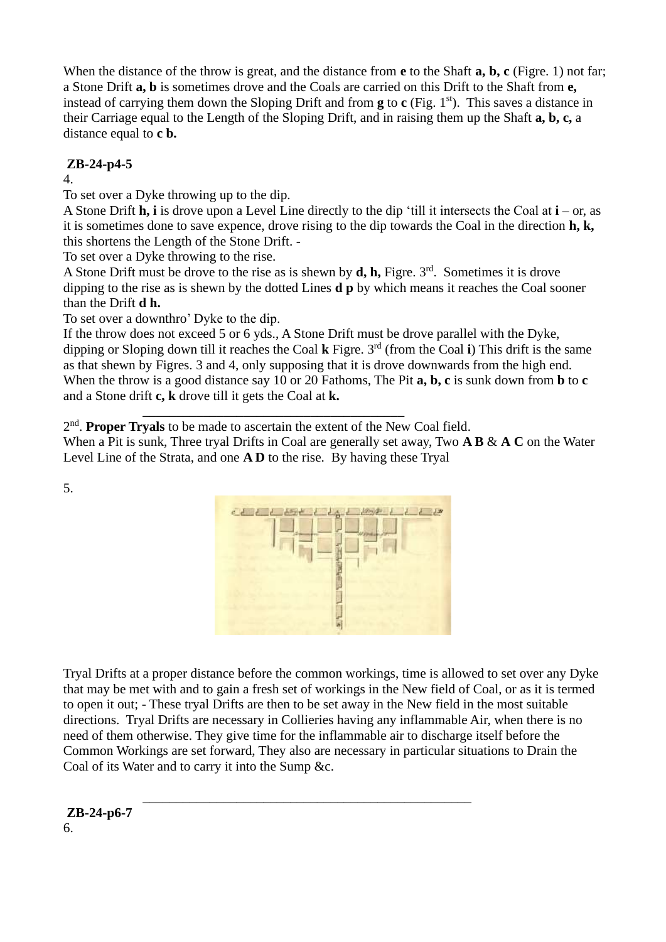When the distance of the throw is great, and the distance from **e** to the Shaft **a, b, c** (Figre. 1) not far; a Stone Drift **a, b** is sometimes drove and the Coals are carried on this Drift to the Shaft from **e,** instead of carrying them down the Sloping Drift and from  $g$  to  $c$  (Fig. 1<sup>st</sup>). This saves a distance in their Carriage equal to the Length of the Sloping Drift, and in raising them up the Shaft **a, b, c,** a distance equal to **c b.** 

## **ZB-24-p4-5**

4.

To set over a Dyke throwing up to the dip.

A Stone Drift **h, i** is drove upon a Level Line directly to the dip 'till it intersects the Coal at **i** – or, as it is sometimes done to save expence, drove rising to the dip towards the Coal in the direction **h, k,** this shortens the Length of the Stone Drift. -

To set over a Dyke throwing to the rise.

A Stone Drift must be drove to the rise as is shewn by  $\mathbf{d}$ ,  $\mathbf{h}$ , Figre. 3<sup>rd</sup>. Sometimes it is drove dipping to the rise as is shewn by the dotted Lines **d p** by which means it reaches the Coal sooner than the Drift **d h.**

To set over a downthro' Dyke to the dip.

If the throw does not exceed 5 or 6 yds., A Stone Drift must be drove parallel with the Dyke, dipping or Sloping down till it reaches the Coal **k** Figre. 3rd (from the Coal **i**) This drift is the same as that shewn by Figres. 3 and 4, only supposing that it is drove downwards from the high end. When the throw is a good distance say 10 or 20 Fathoms, The Pit **a, b, c** is sunk down from **b** to **c** and a Stone drift **c, k** drove till it gets the Coal at **k.**

**\_\_\_\_\_\_\_\_\_\_\_\_\_\_\_\_\_\_\_\_\_\_\_\_\_\_\_\_\_\_\_\_\_\_\_\_\_\_\_** 2<sup>nd</sup>. Proper Tryals to be made to ascertain the extent of the New Coal field.

When a Pit is sunk, Three tryal Drifts in Coal are generally set away, Two **A B** & **A C** on the Water Level Line of the Strata, and one **A D** to the rise. By having these Tryal



Tryal Drifts at a proper distance before the common workings, time is allowed to set over any Dyke that may be met with and to gain a fresh set of workings in the New field of Coal, or as it is termed to open it out; - These tryal Drifts are then to be set away in the New field in the most suitable directions. Tryal Drifts are necessary in Collieries having any inflammable Air, when there is no need of them otherwise. They give time for the inflammable air to discharge itself before the Common Workings are set forward, They also are necessary in particular situations to Drain the Coal of its Water and to carry it into the Sump &c.

\_\_\_\_\_\_\_\_\_\_\_\_\_\_\_\_\_\_\_\_\_\_\_\_\_\_\_\_\_\_\_\_\_\_\_\_\_\_\_\_\_\_\_\_\_\_\_\_\_

**ZB-24-p6-7** 6.

5.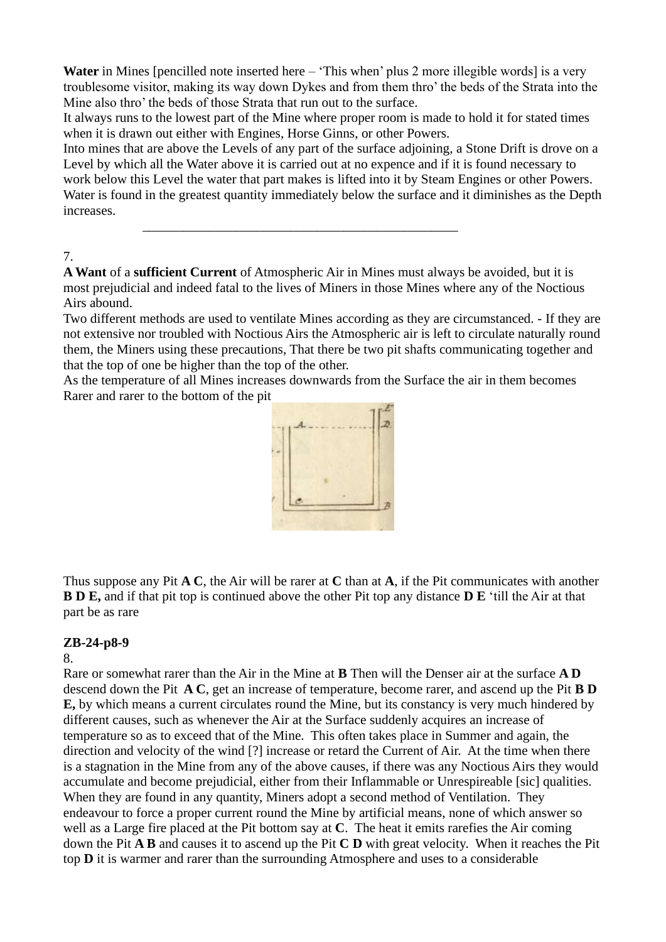Water in Mines [pencilled note inserted here – 'This when' plus 2 more illegible words] is a very troublesome visitor, making its way down Dykes and from them thro' the beds of the Strata into the Mine also thro' the beds of those Strata that run out to the surface.

It always runs to the lowest part of the Mine where proper room is made to hold it for stated times when it is drawn out either with Engines, Horse Ginns, or other Powers.

Into mines that are above the Levels of any part of the surface adjoining, a Stone Drift is drove on a Level by which all the Water above it is carried out at no expence and if it is found necessary to work below this Level the water that part makes is lifted into it by Steam Engines or other Powers. Water is found in the greatest quantity immediately below the surface and it diminishes as the Depth increases.

7.

**A Want** of a **sufficient Current** of Atmospheric Air in Mines must always be avoided, but it is most prejudicial and indeed fatal to the lives of Miners in those Mines where any of the Noctious Airs abound.

\_\_\_\_\_\_\_\_\_\_\_\_\_\_\_\_\_\_\_\_\_\_\_\_\_\_\_\_\_\_\_\_\_\_\_\_\_\_\_\_\_\_\_\_\_\_\_

Two different methods are used to ventilate Mines according as they are circumstanced. - If they are not extensive nor troubled with Noctious Airs the Atmospheric air is left to circulate naturally round them, the Miners using these precautions, That there be two pit shafts communicating together and that the top of one be higher than the top of the other.

As the temperature of all Mines increases downwards from the Surface the air in them becomes Rarer and rarer to the bottom of the pit



Thus suppose any Pit **A C**, the Air will be rarer at **C** than at **A**, if the Pit communicates with another **B D E,** and if that pit top is continued above the other Pit top any distance **D E** 'till the Air at that part be as rare

## **ZB-24-p8-9**

8.

Rare or somewhat rarer than the Air in the Mine at **B** Then will the Denser air at the surface **A D** descend down the Pit **A C**, get an increase of temperature, become rarer, and ascend up the Pit **B D E,** by which means a current circulates round the Mine, but its constancy is very much hindered by different causes, such as whenever the Air at the Surface suddenly acquires an increase of temperature so as to exceed that of the Mine. This often takes place in Summer and again, the direction and velocity of the wind [?] increase or retard the Current of Air. At the time when there is a stagnation in the Mine from any of the above causes, if there was any Noctious Airs they would accumulate and become prejudicial, either from their Inflammable or Unrespireable [sic] qualities. When they are found in any quantity, Miners adopt a second method of Ventilation. They endeavour to force a proper current round the Mine by artificial means, none of which answer so well as a Large fire placed at the Pit bottom say at **C**. The heat it emits rarefies the Air coming down the Pit **A B** and causes it to ascend up the Pit **C D** with great velocity. When it reaches the Pit top **D** it is warmer and rarer than the surrounding Atmosphere and uses to a considerable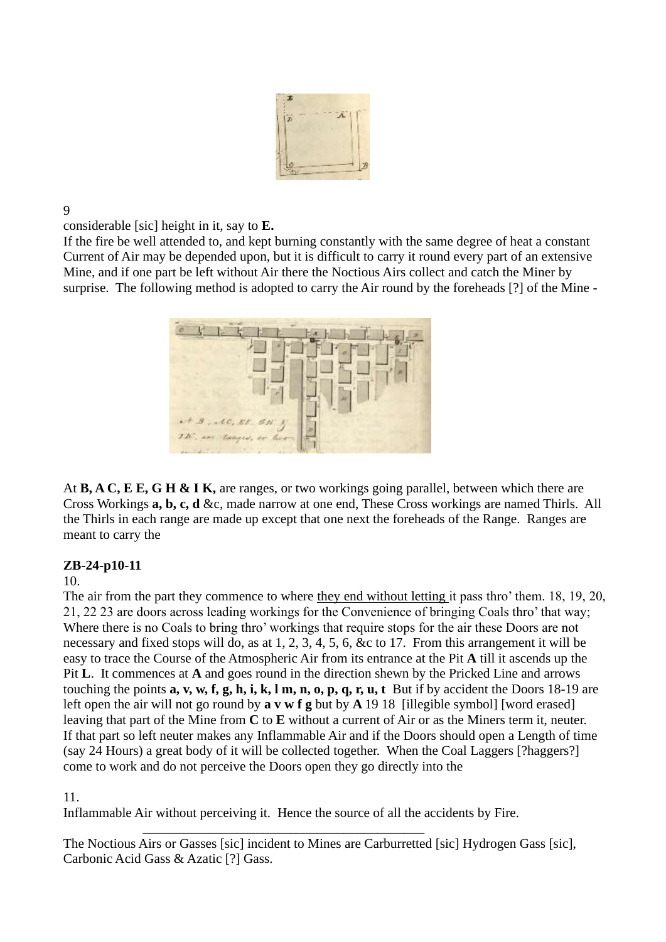

9

considerable [sic] height in it, say to **E.**

If the fire be well attended to, and kept burning constantly with the same degree of heat a constant Current of Air may be depended upon, but it is difficult to carry it round every part of an extensive Mine, and if one part be left without Air there the Noctious Airs collect and catch the Miner by surprise. The following method is adopted to carry the Air round by the foreheads [?] of the Mine -



At **B, A C, E E, G H & I K,** are ranges, or two workings going parallel, between which there are Cross Workings **a, b, c, d** &c, made narrow at one end, These Cross workings are named Thirls. All the Thirls in each range are made up except that one next the foreheads of the Range. Ranges are meant to carry the

## **ZB-24-p10-11**

10.

The air from the part they commence to where they end without letting it pass thro' them. 18, 19, 20, 21, 22 23 are doors across leading workings for the Convenience of bringing Coals thro' that way; Where there is no Coals to bring thro' workings that require stops for the air these Doors are not necessary and fixed stops will do, as at 1, 2, 3, 4, 5, 6, &c to 17. From this arrangement it will be easy to trace the Course of the Atmospheric Air from its entrance at the Pit **A** till it ascends up the Pit **L**. It commences at **A** and goes round in the direction shewn by the Pricked Line and arrows touching the points **a, v, w, f, g, h, i, k, l m, n, o, p, q, r, u, t** But if by accident the Doors 18-19 are left open the air will not go round by **a v w f g** but by **A** 19 18 [illegible symbol] [word erased] leaving that part of the Mine from **C** to **E** without a current of Air or as the Miners term it, neuter. If that part so left neuter makes any Inflammable Air and if the Doors should open a Length of time (say 24 Hours) a great body of it will be collected together. When the Coal Laggers [?haggers?] come to work and do not perceive the Doors open they go directly into the

#### 11.

Inflammable Air without perceiving it. Hence the source of all the accidents by Fire.

\_\_\_\_\_\_\_\_\_\_\_\_\_\_\_\_\_\_\_\_\_\_\_\_\_\_\_\_\_\_\_\_\_\_\_\_\_\_\_\_\_\_

The Noctious Airs or Gasses [sic] incident to Mines are Carburretted [sic] Hydrogen Gass [sic], Carbonic Acid Gass & Azatic [?] Gass.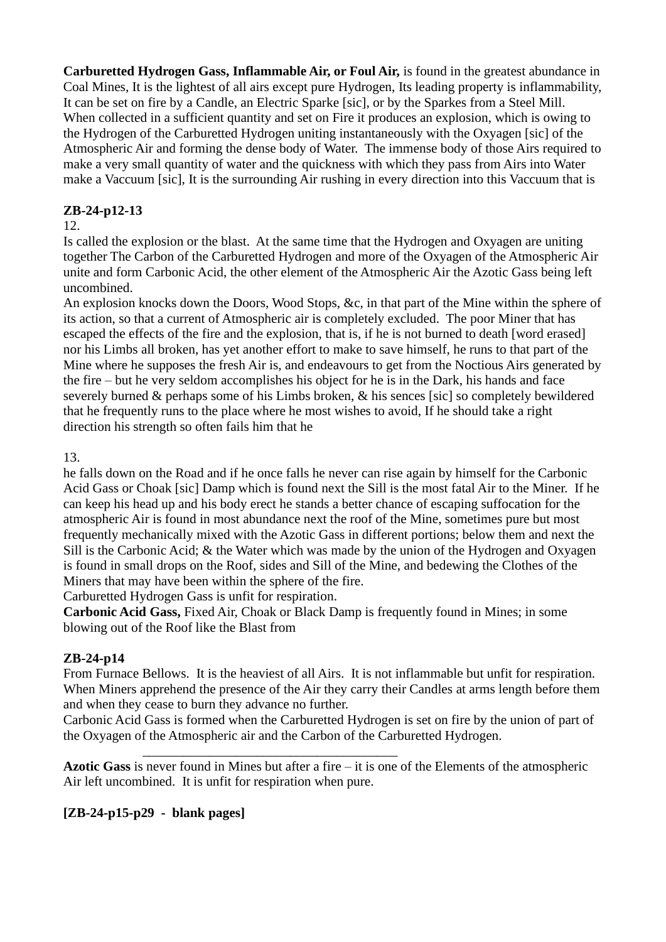**Carburetted Hydrogen Gass, Inflammable Air, or Foul Air,** is found in the greatest abundance in Coal Mines, It is the lightest of all airs except pure Hydrogen, Its leading property is inflammability, It can be set on fire by a Candle, an Electric Sparke [sic], or by the Sparkes from a Steel Mill. When collected in a sufficient quantity and set on Fire it produces an explosion, which is owing to the Hydrogen of the Carburetted Hydrogen uniting instantaneously with the Oxyagen [sic] of the Atmospheric Air and forming the dense body of Water. The immense body of those Airs required to make a very small quantity of water and the quickness with which they pass from Airs into Water make a Vaccuum [sic], It is the surrounding Air rushing in every direction into this Vaccuum that is

## **ZB-24-p12-13**

#### 12.

Is called the explosion or the blast. At the same time that the Hydrogen and Oxyagen are uniting together The Carbon of the Carburetted Hydrogen and more of the Oxyagen of the Atmospheric Air unite and form Carbonic Acid, the other element of the Atmospheric Air the Azotic Gass being left uncombined.

An explosion knocks down the Doors, Wood Stops, &c, in that part of the Mine within the sphere of its action, so that a current of Atmospheric air is completely excluded. The poor Miner that has escaped the effects of the fire and the explosion, that is, if he is not burned to death [word erased] nor his Limbs all broken, has yet another effort to make to save himself, he runs to that part of the Mine where he supposes the fresh Air is, and endeavours to get from the Noctious Airs generated by the fire – but he very seldom accomplishes his object for he is in the Dark, his hands and face severely burned & perhaps some of his Limbs broken, & his sences [sic] so completely bewildered that he frequently runs to the place where he most wishes to avoid, If he should take a right direction his strength so often fails him that he

13.

he falls down on the Road and if he once falls he never can rise again by himself for the Carbonic Acid Gass or Choak [sic] Damp which is found next the Sill is the most fatal Air to the Miner. If he can keep his head up and his body erect he stands a better chance of escaping suffocation for the atmospheric Air is found in most abundance next the roof of the Mine, sometimes pure but most frequently mechanically mixed with the Azotic Gass in different portions; below them and next the Sill is the Carbonic Acid; & the Water which was made by the union of the Hydrogen and Oxyagen is found in small drops on the Roof, sides and Sill of the Mine, and bedewing the Clothes of the Miners that may have been within the sphere of the fire.

Carburetted Hydrogen Gass is unfit for respiration.

**Carbonic Acid Gass,** Fixed Air, Choak or Black Damp is frequently found in Mines; in some blowing out of the Roof like the Blast from

## **ZB-24-p14**

From Furnace Bellows. It is the heaviest of all Airs. It is not inflammable but unfit for respiration. When Miners apprehend the presence of the Air they carry their Candles at arms length before them and when they cease to burn they advance no further.

Carbonic Acid Gass is formed when the Carburetted Hydrogen is set on fire by the union of part of the Oxyagen of the Atmospheric air and the Carbon of the Carburetted Hydrogen.

**Azotic Gass** is never found in Mines but after a fire – it is one of the Elements of the atmospheric Air left uncombined. It is unfit for respiration when pure.

\_\_\_\_\_\_\_\_\_\_\_\_\_\_\_\_\_\_\_\_\_\_\_\_\_\_\_\_\_\_\_\_\_\_\_\_\_\_

## **[ZB-24-p15-p29 - blank pages]**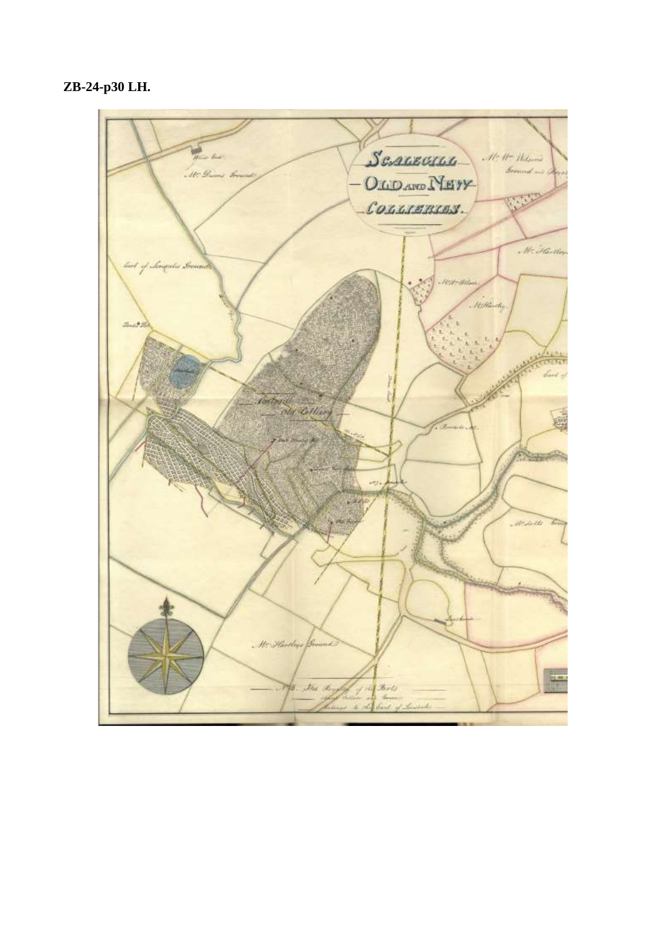**ZB-24-p30 LH.**

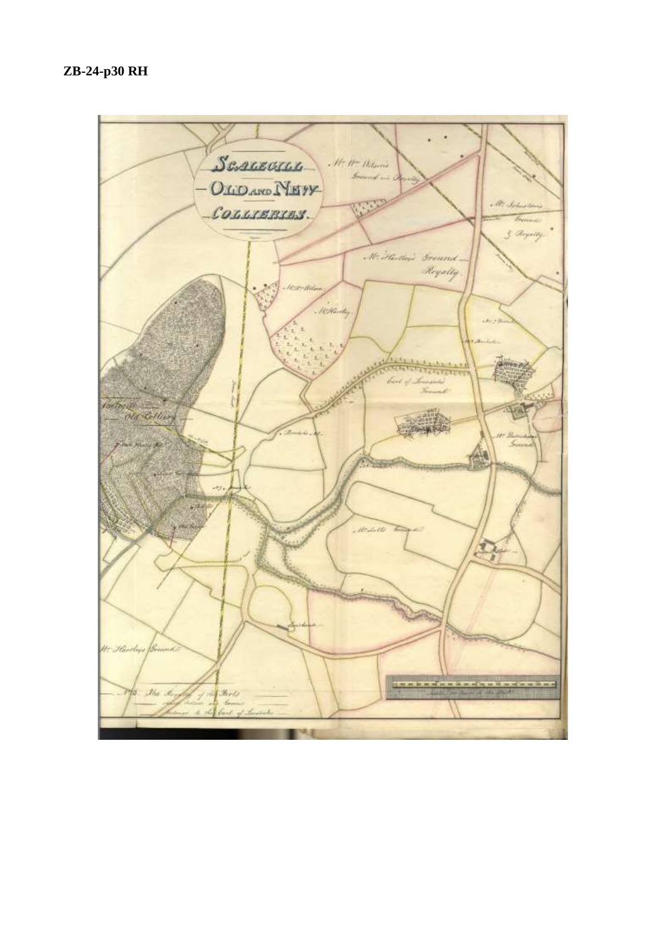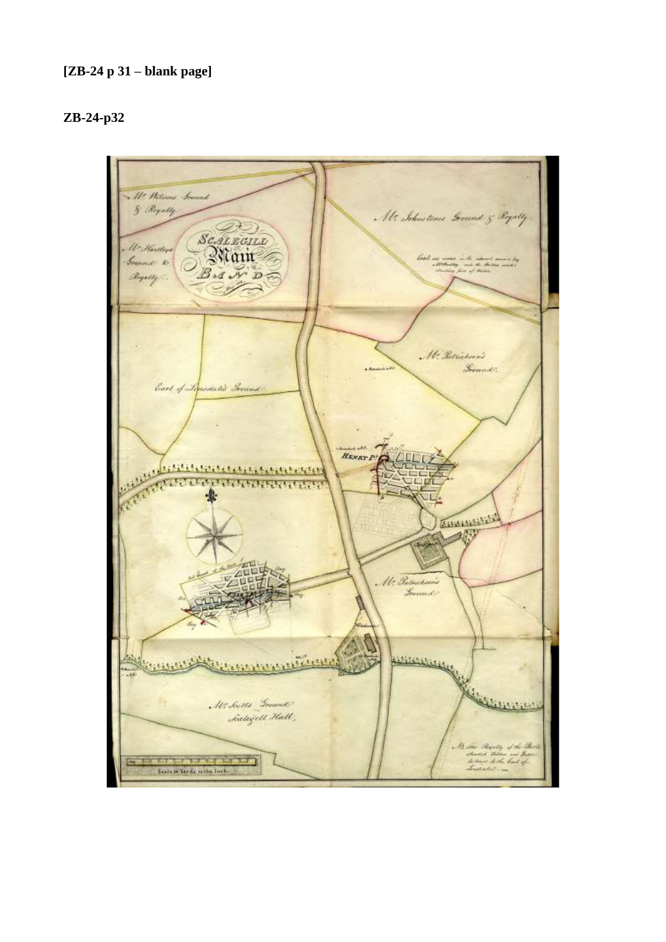#### **[ZB-24 p 31 – blank page]**

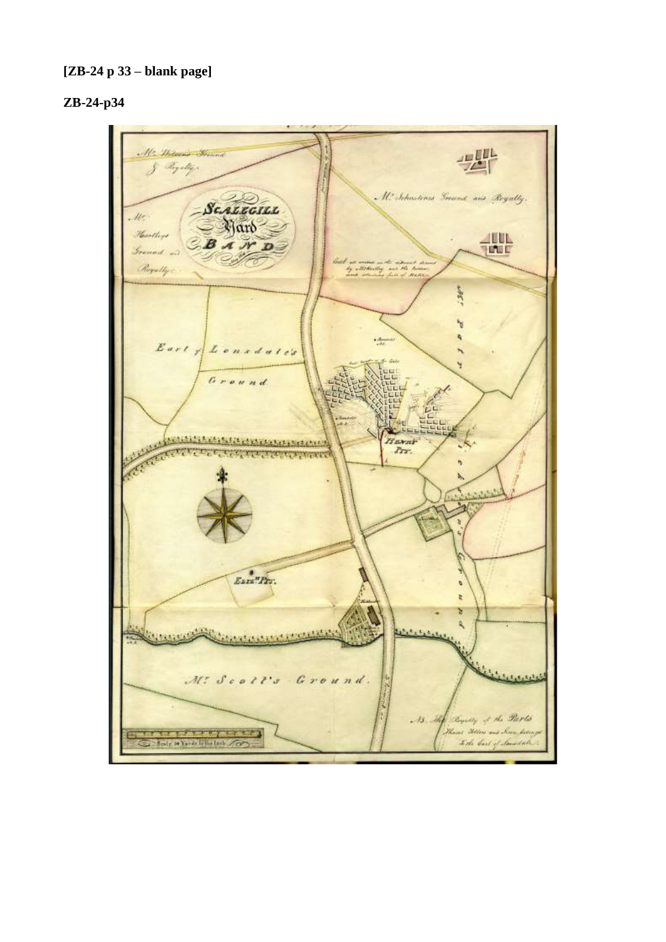## **[ZB-24 p 33 – blank page]**

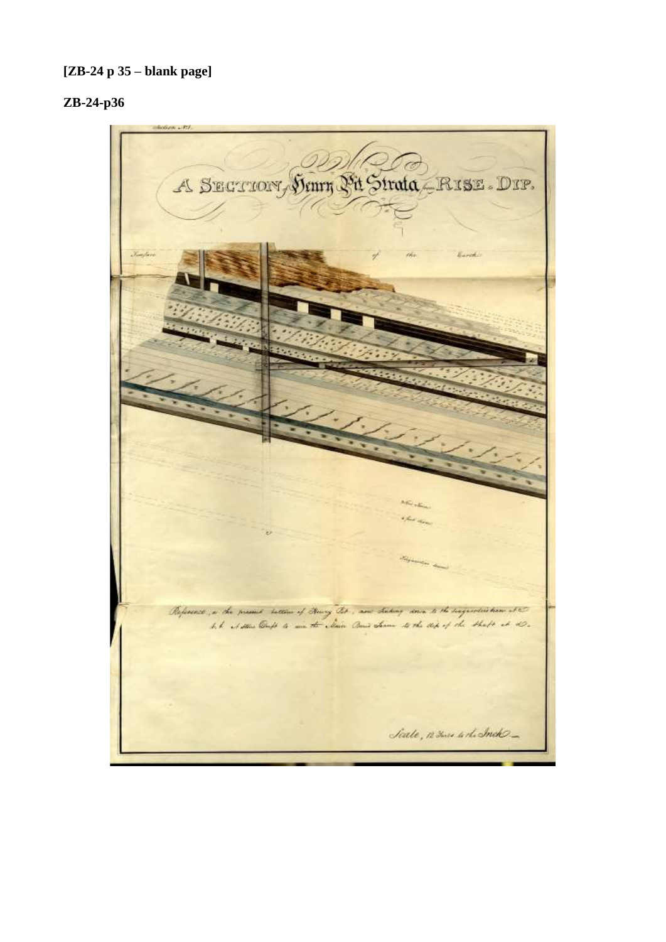## **[ZB-24 p 35 – blank page]**

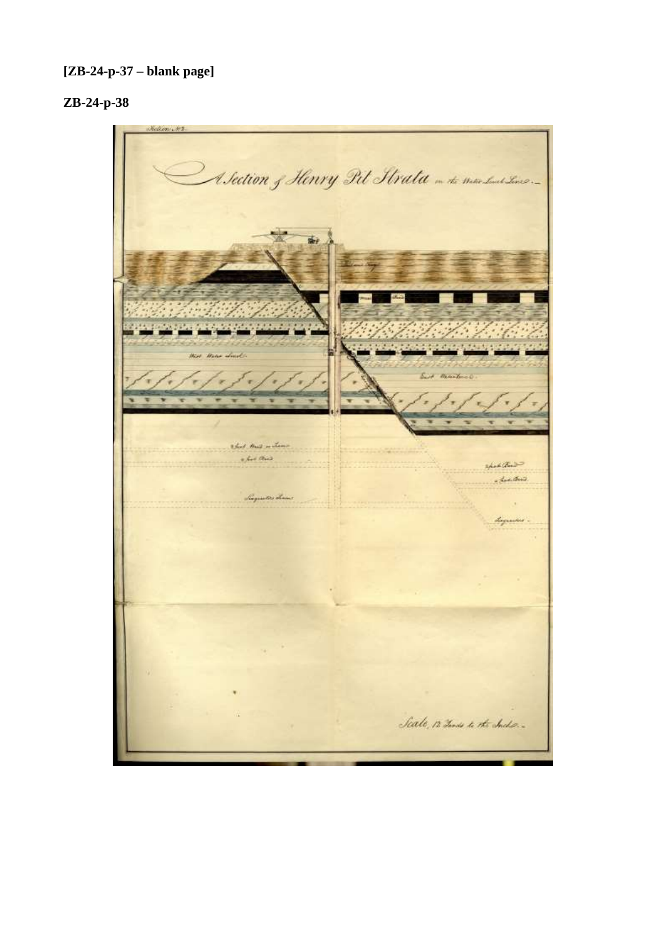## **[ZB-24-p-37 – blank page]**

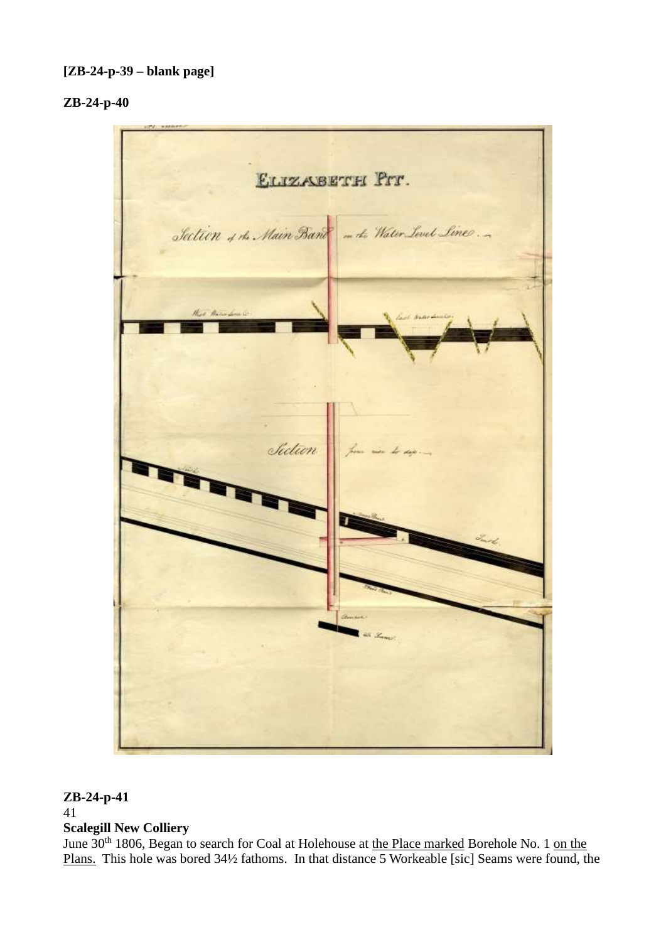## **ZB-24-p-40**



# **ZB-24-p-41**

### 41 **Scalegill New Colliery**

June 30<sup>th</sup> 1806, Began to search for Coal at Holehouse at the Place marked Borehole No. 1 on the Plans. This hole was bored 34½ fathoms. In that distance 5 Workeable [sic] Seams were found, the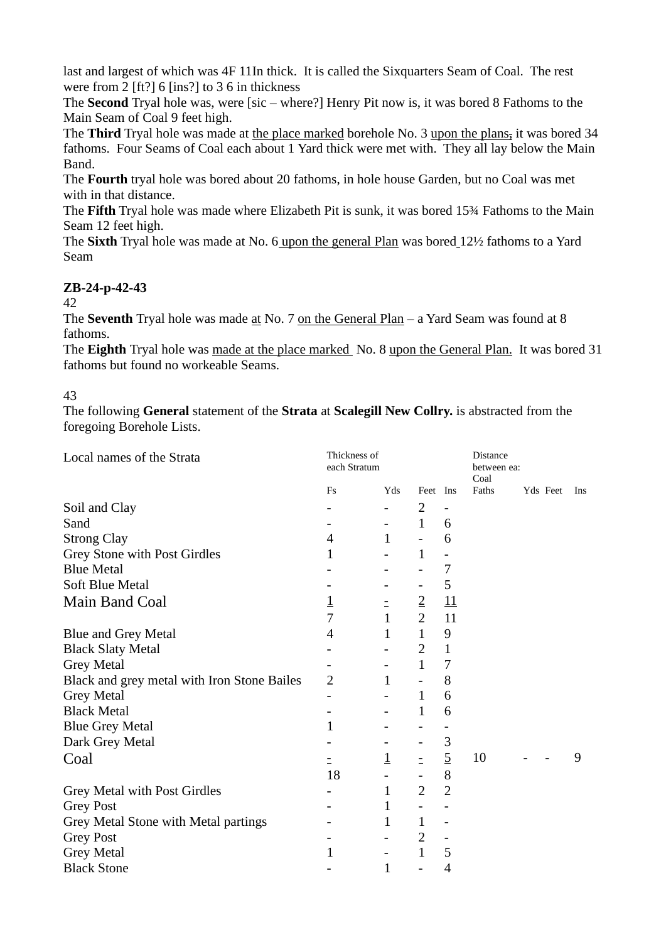last and largest of which was 4F 11In thick. It is called the Sixquarters Seam of Coal. The rest were from 2 [ft?] 6 [ins?] to 3 6 in thickness

The **Second** Tryal hole was, were [sic – where?] Henry Pit now is, it was bored 8 Fathoms to the Main Seam of Coal 9 feet high.

The **Third** Tryal hole was made at the place marked borehole No. 3 upon the plans, it was bored 34 fathoms. Four Seams of Coal each about 1 Yard thick were met with. They all lay below the Main Band.

The **Fourth** tryal hole was bored about 20 fathoms, in hole house Garden, but no Coal was met with in that distance.

The **Fifth** Tryal hole was made where Elizabeth Pit is sunk, it was bored 15¾ Fathoms to the Main Seam 12 feet high.

The **Sixth** Tryal hole was made at No. 6 upon the general Plan was bored 12½ fathoms to a Yard Seam

## **ZB-24-p-42-43**

## 42

The **Seventh** Tryal hole was made at No. 7 on the General Plan – a Yard Seam was found at 8 fathoms.

The **Eighth** Tryal hole was made at the place marked No. 8 upon the General Plan. It was bored 31 fathoms but found no workeable Seams.

## 43

The following **General** statement of the **Strata** at **Scalegill New Collry.** is abstracted from the foregoing Borehole Lists.

| Thickness of<br>Local names of the Strata<br>each Stratum |                |                          |                          | Distance<br>between ea:<br>Coal |       |  |          |     |  |  |
|-----------------------------------------------------------|----------------|--------------------------|--------------------------|---------------------------------|-------|--|----------|-----|--|--|
|                                                           | Fs             | Yds                      | Feet Ins                 |                                 | Faths |  | Yds Feet | Ins |  |  |
| Soil and Clay                                             |                |                          | $\overline{2}$           | $\overline{\phantom{a}}$        |       |  |          |     |  |  |
| Sand                                                      |                | $\qquad \qquad -$        | $\mathbf{1}$             | 6                               |       |  |          |     |  |  |
| <b>Strong Clay</b>                                        | 4              | $\mathbf{1}$             | $\overline{\phantom{0}}$ | 6                               |       |  |          |     |  |  |
| Grey Stone with Post Girdles                              | 1              |                          | $\mathbf{1}$             |                                 |       |  |          |     |  |  |
| <b>Blue Metal</b>                                         |                |                          |                          | 7                               |       |  |          |     |  |  |
| <b>Soft Blue Metal</b>                                    |                |                          | -                        | 5                               |       |  |          |     |  |  |
| Main Band Coal                                            | $\overline{1}$ | Ξ                        | $\overline{2}$           | $\underline{11}$                |       |  |          |     |  |  |
|                                                           | $\overline{7}$ | $\mathbf{1}$             | $\overline{2}$           | 11                              |       |  |          |     |  |  |
| <b>Blue and Grey Metal</b>                                | 4              | $\mathbf{1}$             | $\mathbf{1}$             | 9                               |       |  |          |     |  |  |
| <b>Black Slaty Metal</b>                                  |                |                          | $\overline{2}$           | $\mathbf{1}$                    |       |  |          |     |  |  |
| <b>Grey Metal</b>                                         |                |                          | $\mathbf{1}$             | $\tau$                          |       |  |          |     |  |  |
| Black and grey metal with Iron Stone Bailes               | $\overline{2}$ | $\mathbf{1}$             | $\overline{a}$           | 8                               |       |  |          |     |  |  |
| <b>Grey Metal</b>                                         |                | -                        | $\mathbf{1}$             | 6                               |       |  |          |     |  |  |
| <b>Black Metal</b>                                        |                |                          | 1                        | 6                               |       |  |          |     |  |  |
| <b>Blue Grey Metal</b>                                    | 1              |                          |                          |                                 |       |  |          |     |  |  |
| Dark Grey Metal                                           |                |                          | -                        | $\mathfrak{Z}$                  |       |  |          |     |  |  |
| Coal                                                      | $\equiv$       | $\overline{1}$           | $\equiv$                 | $\overline{5}$                  | 10    |  |          | 9   |  |  |
|                                                           | 18             |                          |                          | 8                               |       |  |          |     |  |  |
| Grey Metal with Post Girdles                              |                | $\mathbf{1}$             | $\overline{2}$           | $\overline{2}$                  |       |  |          |     |  |  |
| <b>Grey Post</b>                                          |                | $\mathbf{1}$             | $\overline{\phantom{a}}$ |                                 |       |  |          |     |  |  |
| Grey Metal Stone with Metal partings                      |                | $\mathbf{1}$             | $\mathbf{1}$             | $\overline{\phantom{a}}$        |       |  |          |     |  |  |
| <b>Grey Post</b>                                          |                |                          | $\overline{2}$           |                                 |       |  |          |     |  |  |
| <b>Grey Metal</b>                                         | $\mathbf{1}$   | $\overline{\phantom{a}}$ | $\mathbf{1}$             | 5                               |       |  |          |     |  |  |
| <b>Black Stone</b>                                        |                | $\mathbf{1}$             | $\overline{\phantom{0}}$ | $\overline{4}$                  |       |  |          |     |  |  |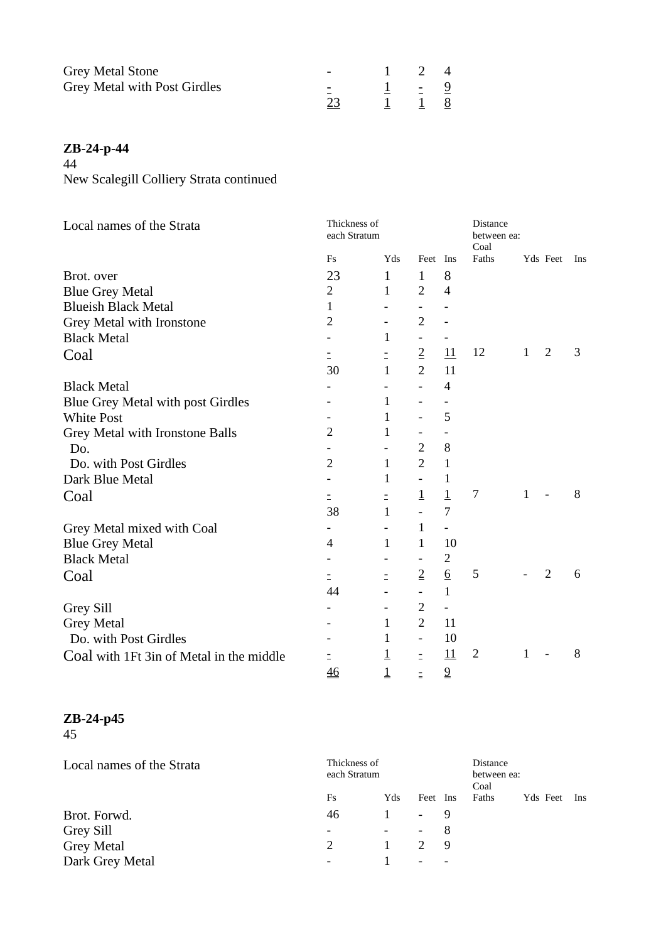| <b>Grey Metal Stone</b>      |  | 24      |  |
|------------------------------|--|---------|--|
| Grey Metal with Post Girdles |  | $1 - 9$ |  |
|                              |  | 1 8     |  |

# **ZB-24-p-44**

44

New Scalegill Colliery Strata continued

| Local names of the Strata                | Thickness of<br>each Stratum |                |                          |                 | Distance<br>between ea:<br>Coal |   |                |   |  |
|------------------------------------------|------------------------------|----------------|--------------------------|-----------------|---------------------------------|---|----------------|---|--|
|                                          | <b>Fs</b>                    | Yds            | Feet Ins                 |                 | Faths                           |   | Yds Feet Ins   |   |  |
| Brot. over                               | 23                           | 1              | 1                        | 8               |                                 |   |                |   |  |
| <b>Blue Grey Metal</b>                   | $\overline{c}$               | 1              | $\overline{2}$           | $\overline{4}$  |                                 |   |                |   |  |
| <b>Blueish Black Metal</b>               | 1                            |                |                          |                 |                                 |   |                |   |  |
| Grey Metal with Ironstone                | $\overline{2}$               |                | $\overline{2}$           |                 |                                 |   |                |   |  |
| <b>Black Metal</b>                       |                              | 1              | -                        |                 |                                 |   |                |   |  |
| Coal                                     | Ξ                            |                | $\overline{2}$           | 11              | 12                              | 1 | $\overline{2}$ | 3 |  |
|                                          | 30                           | 1              | $\overline{2}$           | 11              |                                 |   |                |   |  |
| <b>Black Metal</b>                       |                              |                | $\overline{\phantom{a}}$ | $\overline{4}$  |                                 |   |                |   |  |
| Blue Grey Metal with post Girdles        |                              | 1              |                          |                 |                                 |   |                |   |  |
| <b>White Post</b>                        |                              | 1              |                          | 5               |                                 |   |                |   |  |
| Grey Metal with Ironstone Balls          | 2                            | 1              |                          |                 |                                 |   |                |   |  |
| Do.                                      |                              |                | $\overline{2}$           | 8               |                                 |   |                |   |  |
| Do. with Post Girdles                    | $\overline{2}$               | $\mathbf{1}$   | $\overline{2}$           | $\mathbf{1}$    |                                 |   |                |   |  |
| Dark Blue Metal                          |                              | 1              | $\equiv$                 | 1               |                                 |   |                |   |  |
| Coal                                     | Ξ                            | $\equiv$       | $\overline{1}$           | $\overline{1}$  | $\overline{7}$                  | 1 |                | 8 |  |
|                                          | 38                           | 1              |                          | $\overline{7}$  |                                 |   |                |   |  |
| Grey Metal mixed with Coal               |                              |                | $\mathbf{1}$             | $\blacksquare$  |                                 |   |                |   |  |
| <b>Blue Grey Metal</b>                   | 4                            | 1              | $\mathbf{1}$             | 10              |                                 |   |                |   |  |
| <b>Black Metal</b>                       |                              |                | $\overline{\phantom{a}}$ | $\overline{c}$  |                                 |   |                |   |  |
| Coal                                     | Ξ                            | $\equiv$       | $\overline{2}$           | $\underline{6}$ | 5                               |   | $\overline{2}$ | 6 |  |
|                                          | 44                           |                | $\overline{\phantom{a}}$ | $\mathbf{1}$    |                                 |   |                |   |  |
| Grey Sill                                |                              |                | $\overline{2}$           | $\blacksquare$  |                                 |   |                |   |  |
| <b>Grey Metal</b>                        |                              | 1              | $\overline{2}$           | 11              |                                 |   |                |   |  |
| Do. with Post Girdles                    |                              | 1              | $\overline{\phantom{a}}$ | 10              |                                 |   |                |   |  |
| Coal with 1Ft 3in of Metal in the middle |                              | $\overline{1}$ | Ξ                        | 11              | $\overline{2}$                  | 1 |                | 8 |  |
|                                          | 46                           | $\mathbf 1$    |                          | $\overline{9}$  |                                 |   |                |   |  |

#### **ZB-24-p45**

45

| Local names of the Strata |               | Thickness of<br>each Stratum |                          |     |       | Distance<br>between ea:<br>Coal |            |  |  |  |
|---------------------------|---------------|------------------------------|--------------------------|-----|-------|---------------------------------|------------|--|--|--|
|                           | Fs            | Yds                          | Feet Ins                 |     | Faths | Yds Feet                        | <b>Ins</b> |  |  |  |
| Brot. Forwd.              | 46            |                              | - 9                      |     |       |                                 |            |  |  |  |
| Grey Sill                 |               | $\Delta \sim 10^{-10}$       | - 8                      |     |       |                                 |            |  |  |  |
| <b>Grey Metal</b>         | $\mathcal{D}$ | 1.                           | $\mathcal{D}$            | - 9 |       |                                 |            |  |  |  |
| Dark Grey Metal           |               |                              | $\overline{\phantom{0}}$ |     |       |                                 |            |  |  |  |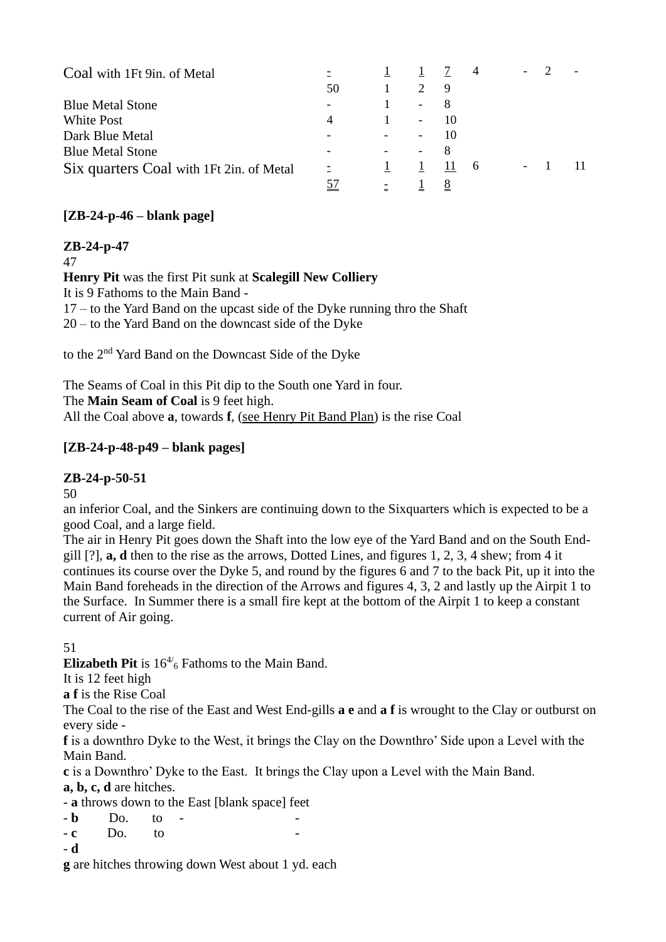| Coal with 1Ft 9in. of Metal              |           | $\perp$ |                          | $1 \quad 7 \quad 4$ |    |  |  |
|------------------------------------------|-----------|---------|--------------------------|---------------------|----|--|--|
|                                          | 50        |         | $\overline{2}$           | $\overline{9}$      |    |  |  |
| <b>Blue Metal Stone</b>                  |           |         | $-8$                     |                     |    |  |  |
| White Post                               |           |         | $\sim$ $ \sim$           | 10                  |    |  |  |
| Dark Blue Metal                          |           |         | $\sim$                   | 10                  |    |  |  |
| <b>Blue Metal Stone</b>                  |           |         | $\overline{\phantom{0}}$ |                     |    |  |  |
| Six quarters Coal with 1Ft 2in. of Metal |           |         |                          | $1 \quad 11$        | -6 |  |  |
|                                          | <u>57</u> |         |                          | <u>8</u>            |    |  |  |

## **[ZB-24-p-46 – blank page]**

## **ZB-24-p-47**

47

#### **Henry Pit** was the first Pit sunk at **Scalegill New Colliery**

It is 9 Fathoms to the Main Band -

17 – to the Yard Band on the upcast side of the Dyke running thro the Shaft 20 – to the Yard Band on the downcast side of the Dyke

to the 2nd Yard Band on the Downcast Side of the Dyke

The Seams of Coal in this Pit dip to the South one Yard in four. The **Main Seam of Coal** is 9 feet high. All the Coal above **a**, towards **f**, (see Henry Pit Band Plan) is the rise Coal

## **[ZB-24-p-48-p49 – blank pages]**

## **ZB-24-p-50-51**

50

an inferior Coal, and the Sinkers are continuing down to the Sixquarters which is expected to be a good Coal, and a large field.

The air in Henry Pit goes down the Shaft into the low eye of the Yard Band and on the South Endgill [?], **a, d** then to the rise as the arrows, Dotted Lines, and figures 1, 2, 3, 4 shew; from 4 it continues its course over the Dyke 5, and round by the figures 6 and 7 to the back Pit, up it into the Main Band foreheads in the direction of the Arrows and figures 4, 3, 2 and lastly up the Airpit 1 to the Surface. In Summer there is a small fire kept at the bottom of the Airpit 1 to keep a constant current of Air going.

## 51

**Elizabeth Pit** is  $16^{4/6}$  Fathoms to the Main Band.

It is 12 feet high

**a f** is the Rise Coal

The Coal to the rise of the East and West End-gills **a e** and **a f** is wrought to the Clay or outburst on every side -

**f** is a downthro Dyke to the West, it brings the Clay on the Downthro' Side upon a Level with the Main Band.

**c** is a Downthro' Dyke to the East. It brings the Clay upon a Level with the Main Band. **a, b, c, d** are hitches.

- **a** throws down to the East [blank space] feet

- **b** Do. to - -

- **c** Do. to -
- **d**

**g** are hitches throwing down West about 1 yd. each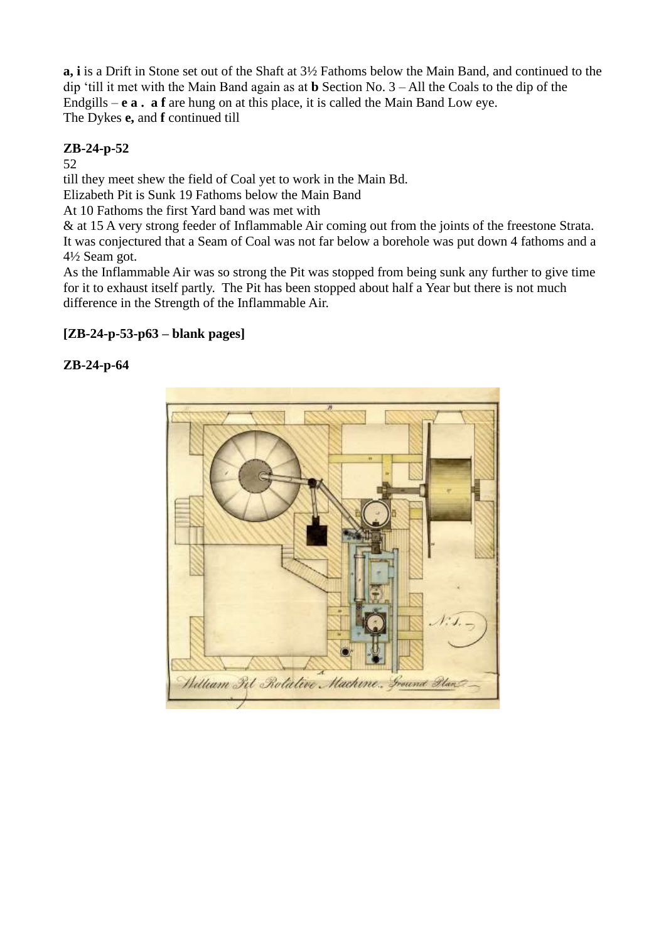**a, i** is a Drift in Stone set out of the Shaft at 3½ Fathoms below the Main Band, and continued to the dip 'till it met with the Main Band again as at **b** Section No. 3 – All the Coals to the dip of the Endgills – **e a . a f** are hung on at this place, it is called the Main Band Low eye. The Dykes **e,** and **f** continued till

## **ZB-24-p-52**

52

till they meet shew the field of Coal yet to work in the Main Bd.

Elizabeth Pit is Sunk 19 Fathoms below the Main Band

At 10 Fathoms the first Yard band was met with

& at 15 A very strong feeder of Inflammable Air coming out from the joints of the freestone Strata. It was conjectured that a Seam of Coal was not far below a borehole was put down 4 fathoms and a 4½ Seam got.

As the Inflammable Air was so strong the Pit was stopped from being sunk any further to give time for it to exhaust itself partly. The Pit has been stopped about half a Year but there is not much difference in the Strength of the Inflammable Air.

## **[ZB-24-p-53-p63 – blank pages]**

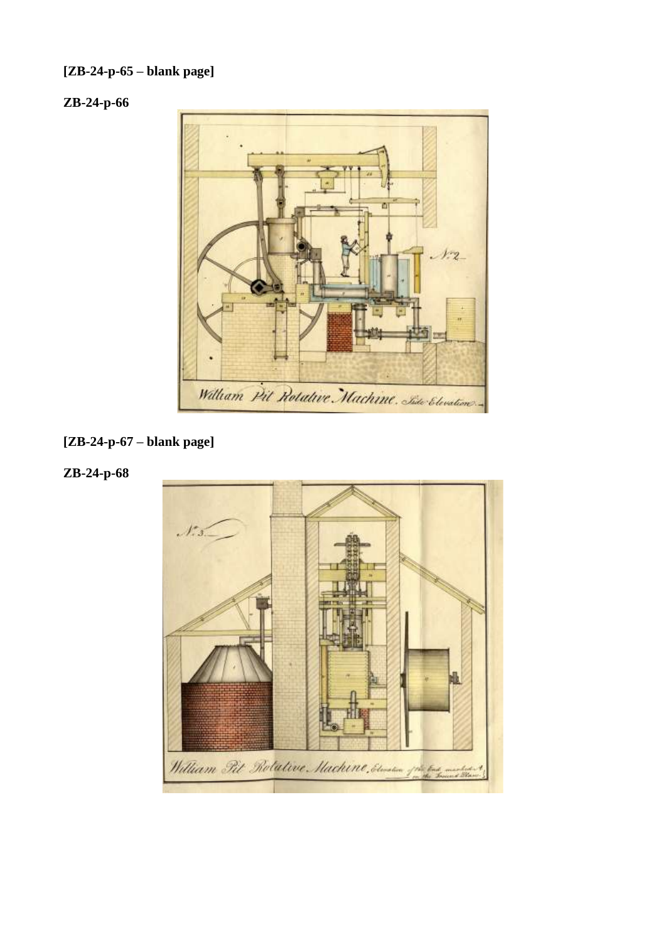## **[ZB-24-p-65 – blank page]**

## **ZB-24-p-66**



## **[ZB-24-p-67 – blank page]**

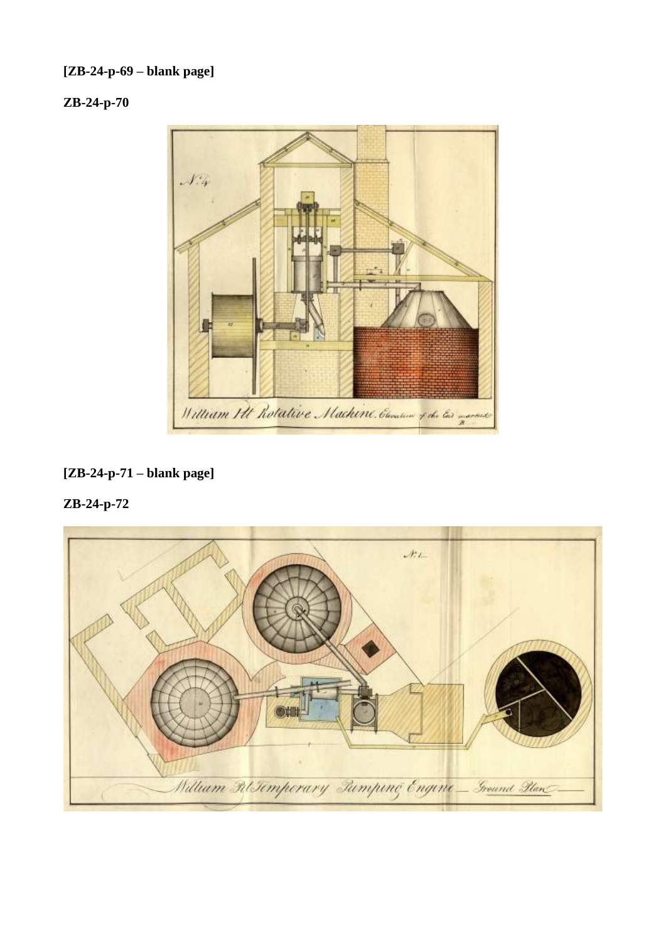## **[ZB-24-p-69 – blank page]**

## **ZB-24-p-70**



## **[ZB-24-p-71 – blank page]**

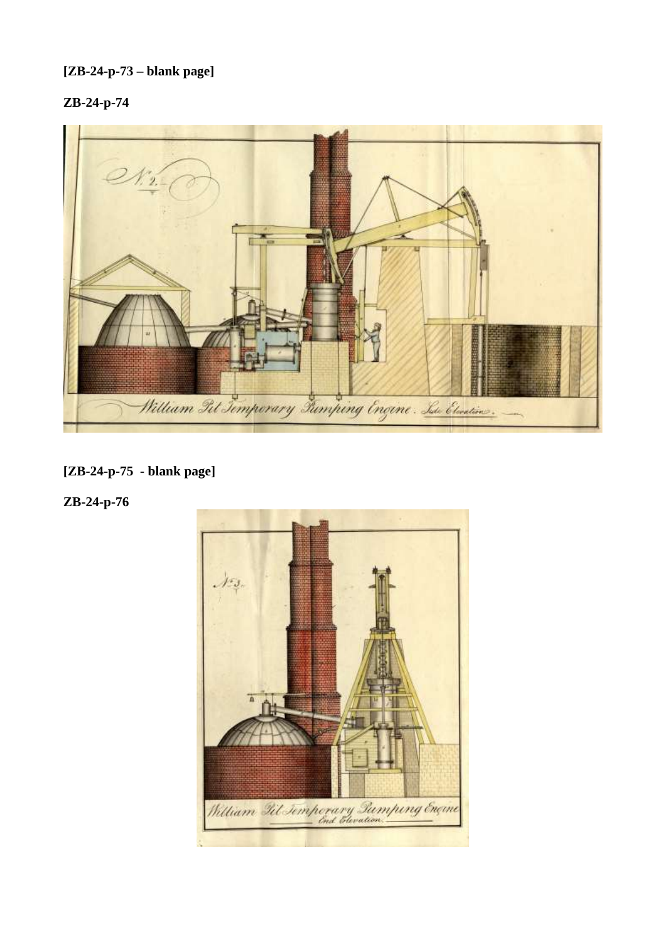## **[ZB-24-p-73 – blank page]**

## **ZB-24-p-74**



## **[ZB-24-p-75 - blank page]**

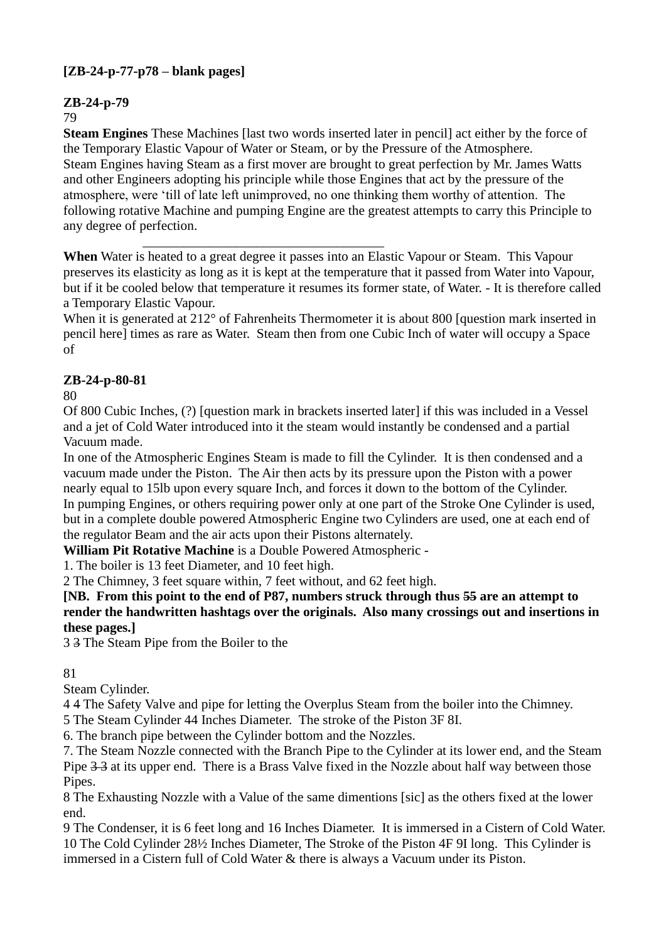## **[ZB-24-p-77-p78 – blank pages]**

## **ZB-24-p-79**

#### 79

**Steam Engines** These Machines [last two words inserted later in pencil] act either by the force of the Temporary Elastic Vapour of Water or Steam, or by the Pressure of the Atmosphere. Steam Engines having Steam as a first mover are brought to great perfection by Mr. James Watts and other Engineers adopting his principle while those Engines that act by the pressure of the atmosphere, were 'till of late left unimproved, no one thinking them worthy of attention. The following rotative Machine and pumping Engine are the greatest attempts to carry this Principle to any degree of perfection.

\_\_\_\_\_\_\_\_\_\_\_\_\_\_\_\_\_\_\_\_\_\_\_\_\_\_\_\_\_\_\_\_\_\_\_\_ **When** Water is heated to a great degree it passes into an Elastic Vapour or Steam. This Vapour preserves its elasticity as long as it is kept at the temperature that it passed from Water into Vapour, but if it be cooled below that temperature it resumes its former state, of Water. - It is therefore called a Temporary Elastic Vapour.

When it is generated at 212° of Fahrenheits Thermometer it is about 800 [question mark inserted in pencil here] times as rare as Water. Steam then from one Cubic Inch of water will occupy a Space of

## **ZB-24-p-80-81**

80

Of 800 Cubic Inches, (?) [question mark in brackets inserted later] if this was included in a Vessel and a jet of Cold Water introduced into it the steam would instantly be condensed and a partial Vacuum made.

In one of the Atmospheric Engines Steam is made to fill the Cylinder. It is then condensed and a vacuum made under the Piston. The Air then acts by its pressure upon the Piston with a power nearly equal to 15lb upon every square Inch, and forces it down to the bottom of the Cylinder. In pumping Engines, or others requiring power only at one part of the Stroke One Cylinder is used, but in a complete double powered Atmospheric Engine two Cylinders are used, one at each end of the regulator Beam and the air acts upon their Pistons alternately.

**William Pit Rotative Machine** is a Double Powered Atmospheric -

1. The boiler is 13 feet Diameter, and 10 feet high.

2 The Chimney, 3 feet square within, 7 feet without, and 62 feet high.

**[NB. From this point to the end of P87, numbers struck through thus 55 are an attempt to render the handwritten hashtags over the originals. Also many crossings out and insertions in these pages.]**

3 3 The Steam Pipe from the Boiler to the

## 81

Steam Cylinder.

4 4 The Safety Valve and pipe for letting the Overplus Steam from the boiler into the Chimney.

5 The Steam Cylinder 44 Inches Diameter. The stroke of the Piston 3F 8I.

6. The branch pipe between the Cylinder bottom and the Nozzles.

7. The Steam Nozzle connected with the Branch Pipe to the Cylinder at its lower end, and the Steam Pipe  $3-3$  at its upper end. There is a Brass Valve fixed in the Nozzle about half way between those Pipes.

8 The Exhausting Nozzle with a Value of the same dimentions [sic] as the others fixed at the lower end.

9 The Condenser, it is 6 feet long and 16 Inches Diameter. It is immersed in a Cistern of Cold Water. 10 The Cold Cylinder 28½ Inches Diameter, The Stroke of the Piston 4F 9I long. This Cylinder is immersed in a Cistern full of Cold Water & there is always a Vacuum under its Piston.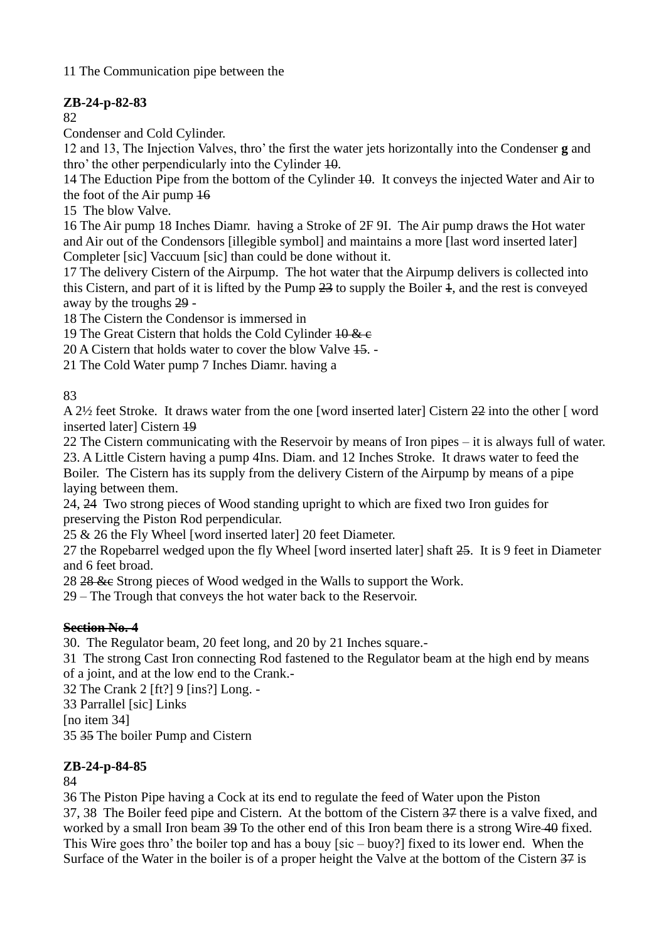11 The Communication pipe between the

## **ZB-24-p-82-83**

82

Condenser and Cold Cylinder.

12 and 13, The Injection Valves, thro' the first the water jets horizontally into the Condenser **g** and thro' the other perpendicularly into the Cylinder 10.

14 The Eduction Pipe from the bottom of the Cylinder 10. It conveys the injected Water and Air to the foot of the Air pump 16

15 The blow Valve.

16 The Air pump 18 Inches Diamr. having a Stroke of 2F 9I. The Air pump draws the Hot water and Air out of the Condensors [illegible symbol] and maintains a more [last word inserted later] Completer [sic] Vaccuum [sic] than could be done without it.

17 The delivery Cistern of the Airpump. The hot water that the Airpump delivers is collected into this Cistern, and part of it is lifted by the Pump 23 to supply the Boiler 1, and the rest is conveyed away by the troughs 29 -

18 The Cistern the Condensor is immersed in

19 The Great Cistern that holds the Cold Cylinder  $10 \& c$ 

20 A Cistern that holds water to cover the blow Valve 15. -

21 The Cold Water pump 7 Inches Diamr. having a

83

A 2½ feet Stroke. It draws water from the one [word inserted later] Cistern 22 into the other [ word inserted laterl Cistern 49

22 The Cistern communicating with the Reservoir by means of Iron pipes – it is always full of water. 23. A Little Cistern having a pump 4Ins. Diam. and 12 Inches Stroke. It draws water to feed the Boiler. The Cistern has its supply from the delivery Cistern of the Airpump by means of a pipe laying between them.

24, 24 Two strong pieces of Wood standing upright to which are fixed two Iron guides for preserving the Piston Rod perpendicular.

25 & 26 the Fly Wheel [word inserted later] 20 feet Diameter.

27 the Ropebarrel wedged upon the fly Wheel [word inserted later] shaft 25. It is 9 feet in Diameter and 6 feet broad.

28 28 &c Strong pieces of Wood wedged in the Walls to support the Work.

29 – The Trough that conveys the hot water back to the Reservoir.

## **Section No. 4**

30. The Regulator beam, 20 feet long, and 20 by 21 Inches square.-

31 The strong Cast Iron connecting Rod fastened to the Regulator beam at the high end by means of a joint, and at the low end to the Crank.-

32 The Crank 2 [ft?] 9 [ins?] Long. -

33 Parrallel [sic] Links

[no item 34]

35 35 The boiler Pump and Cistern

## **ZB-24-p-84-85**

84

36 The Piston Pipe having a Cock at its end to regulate the feed of Water upon the Piston 37, 38 The Boiler feed pipe and Cistern. At the bottom of the Cistern 37 there is a valve fixed, and worked by a small Iron beam 39 To the other end of this Iron beam there is a strong Wire 40 fixed. This Wire goes thro' the boiler top and has a bouy [sic – buoy?] fixed to its lower end. When the Surface of the Water in the boiler is of a proper height the Valve at the bottom of the Cistern 37 is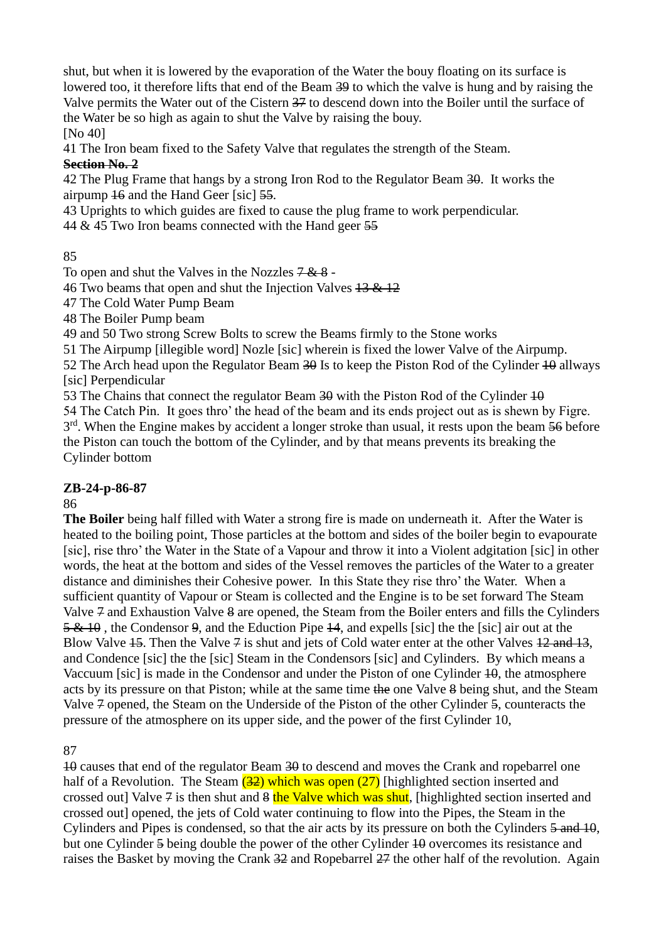shut, but when it is lowered by the evaporation of the Water the bouy floating on its surface is lowered too, it therefore lifts that end of the Beam 39 to which the valve is hung and by raising the Valve permits the Water out of the Cistern 37 to descend down into the Boiler until the surface of the Water be so high as again to shut the Valve by raising the bouy.

[No 40]

41 The Iron beam fixed to the Safety Valve that regulates the strength of the Steam.

### **Section No. 2**

42 The Plug Frame that hangs by a strong Iron Rod to the Regulator Beam 30. It works the airpump 16 and the Hand Geer [sic] 55.

43 Uprights to which guides are fixed to cause the plug frame to work perpendicular.

44 & 45 Two Iron beams connected with the Hand geer 55

85

To open and shut the Valves in the Nozzles  $7 & 8$  -

46 Two beams that open and shut the Injection Valves 13 & 12

47 The Cold Water Pump Beam

48 The Boiler Pump beam

49 and 50 Two strong Screw Bolts to screw the Beams firmly to the Stone works

51 The Airpump [illegible word] Nozle [sic] wherein is fixed the lower Valve of the Airpump.

52 The Arch head upon the Regulator Beam  $30$  Is to keep the Piston Rod of the Cylinder  $10$  allways [sic] Perpendicular

53 The Chains that connect the regulator Beam 30 with the Piston Rod of the Cylinder  $10$ 54 The Catch Pin. It goes thro' the head of the beam and its ends project out as is shewn by Figre.

3<sup>rd</sup>. When the Engine makes by accident a longer stroke than usual, it rests upon the beam 56 before

the Piston can touch the bottom of the Cylinder, and by that means prevents its breaking the Cylinder bottom

## **ZB-24-p-86-87**

## 86

**The Boiler** being half filled with Water a strong fire is made on underneath it. After the Water is heated to the boiling point, Those particles at the bottom and sides of the boiler begin to evapourate [sic], rise thro' the Water in the State of a Vapour and throw it into a Violent adgitation [sic] in other words, the heat at the bottom and sides of the Vessel removes the particles of the Water to a greater distance and diminishes their Cohesive power.In this State they rise thro' the Water. When a sufficient quantity of Vapour or Steam is collected and the Engine is to be set forward The Steam Valve 7 and Exhaustion Valve 8 are opened, the Steam from the Boiler enters and fills the Cylinders 5 & 10 , the Condensor 9, and the Eduction Pipe 14, and expells [sic] the the [sic] air out at the Blow Valve  $15$ . Then the Valve  $7$  is shut and jets of Cold water enter at the other Valves  $12$  and  $13$ , and Condence [sic] the the [sic] Steam in the Condensors [sic] and Cylinders. By which means a Vaccuum [sic] is made in the Condensor and under the Piston of one Cylinder 40, the atmosphere acts by its pressure on that Piston; while at the same time the one Valve 8 being shut, and the Steam Valve 7 opened, the Steam on the Underside of the Piston of the other Cylinder 5, counteracts the pressure of the atmosphere on its upper side, and the power of the first Cylinder 10,

87

10 causes that end of the regulator Beam 30 to descend and moves the Crank and ropebarrel one half of a Revolution. The Steam  $(32)$  which was open  $(27)$  [highlighted section inserted and crossed out] Valve  $\frac{3}{4}$  is then shut and  $\frac{3}{4}$  the Valve which was shut, [highlighted section inserted and crossed out] opened, the jets of Cold water continuing to flow into the Pipes, the Steam in the Cylinders and Pipes is condensed, so that the air acts by its pressure on both the Cylinders 5 and 10, but one Cylinder 5 being double the power of the other Cylinder 10 overcomes its resistance and raises the Basket by moving the Crank 32 and Ropebarrel 27 the other half of the revolution. Again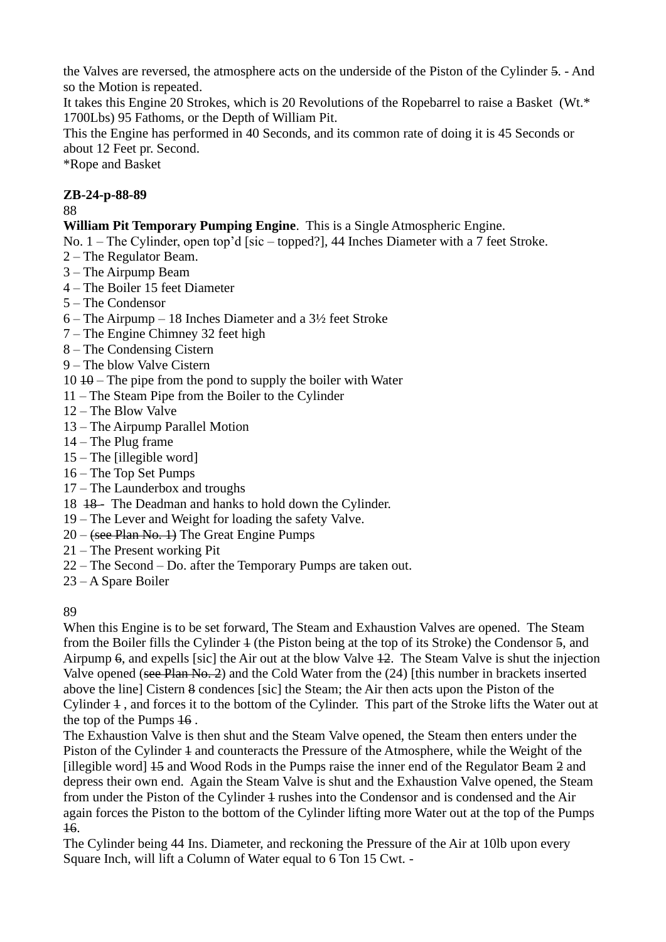the Valves are reversed, the atmosphere acts on the underside of the Piston of the Cylinder 5. - And so the Motion is repeated.

It takes this Engine 20 Strokes, which is 20 Revolutions of the Ropebarrel to raise a Basket (Wt.\* 1700Lbs) 95 Fathoms, or the Depth of William Pit.

This the Engine has performed in 40 Seconds, and its common rate of doing it is 45 Seconds or about 12 Feet pr. Second.

\*Rope and Basket

## **ZB-24-p-88-89**

88

## **William Pit Temporary Pumping Engine**. This is a Single Atmospheric Engine.

No. 1 – The Cylinder, open top'd [sic – topped?], 44 Inches Diameter with a 7 feet Stroke.

- 2 The Regulator Beam.
- 3 The Airpump Beam
- 4 The Boiler 15 feet Diameter
- 5 The Condensor
- 6 The Airpump 18 Inches Diameter and a 3½ feet Stroke
- 7 The Engine Chimney 32 feet high
- 8 The Condensing Cistern
- 9 The blow Valve Cistern

 $10 + 40$  – The pipe from the pond to supply the boiler with Water

- 11 The Steam Pipe from the Boiler to the Cylinder
- 12 The Blow Valve
- 13 The Airpump Parallel Motion
- 14 The Plug frame
- 15 The [illegible word]
- 16 The Top Set Pumps
- 17 The Launderbox and troughs
- 18 <del>18</del> The Deadman and hanks to hold down the Cylinder.
- 19 The Lever and Weight for loading the safety Valve.
- $20 -$  (see Plan No. 1) The Great Engine Pumps
- 21 The Present working Pit
- 22 The Second Do. after the Temporary Pumps are taken out.
- 23 A Spare Boiler

#### 89

When this Engine is to be set forward, The Steam and Exhaustion Valves are opened. The Steam from the Boiler fills the Cylinder 1 (the Piston being at the top of its Stroke) the Condensor 5, and Airpump 6, and expells [sic] the Air out at the blow Valve 12. The Steam Valve is shut the injection Valve opened (see Plan No. 2) and the Cold Water from the (24) [this number in brackets inserted above the line] Cistern 8 condences [sic] the Steam; the Air then acts upon the Piston of the Cylinder 1 , and forces it to the bottom of the Cylinder. This part of the Stroke lifts the Water out at the top of the Pumps 16 .

The Exhaustion Valve is then shut and the Steam Valve opened, the Steam then enters under the Piston of the Cylinder  $\pm$  and counteracts the Pressure of the Atmosphere, while the Weight of the [illegible word] 15 and Wood Rods in the Pumps raise the inner end of the Regulator Beam 2 and depress their own end. Again the Steam Valve is shut and the Exhaustion Valve opened, the Steam from under the Piston of the Cylinder 4 rushes into the Condensor and is condensed and the Air again forces the Piston to the bottom of the Cylinder lifting more Water out at the top of the Pumps 16.

The Cylinder being 44 Ins. Diameter, and reckoning the Pressure of the Air at 10lb upon every Square Inch, will lift a Column of Water equal to 6 Ton 15 Cwt. -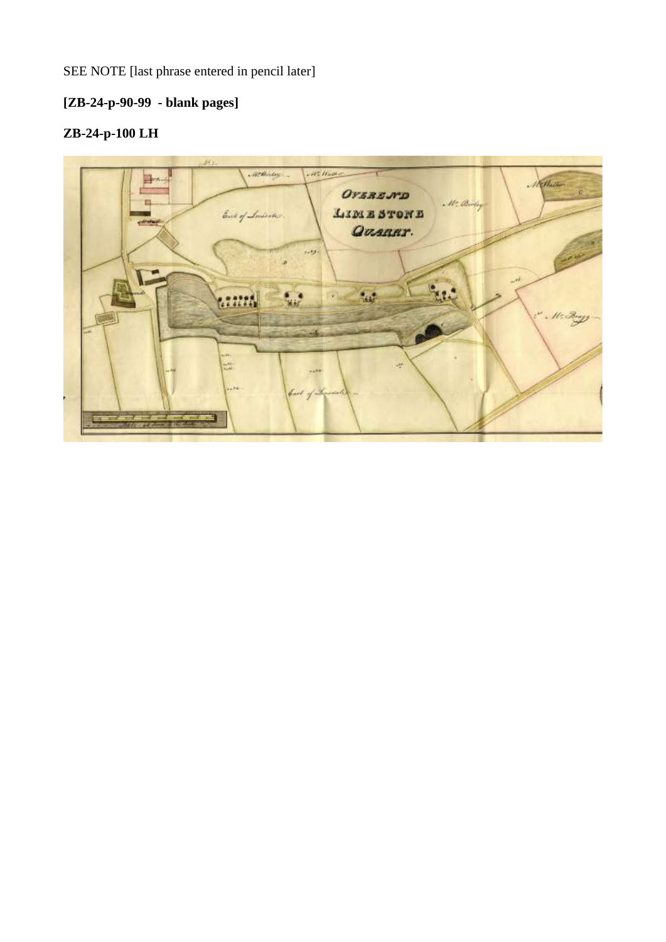SEE NOTE [last phrase entered in pencil later]

## **[ZB-24-p-90-99 - blank pages]**

# **ZB-24-p-100 LH**

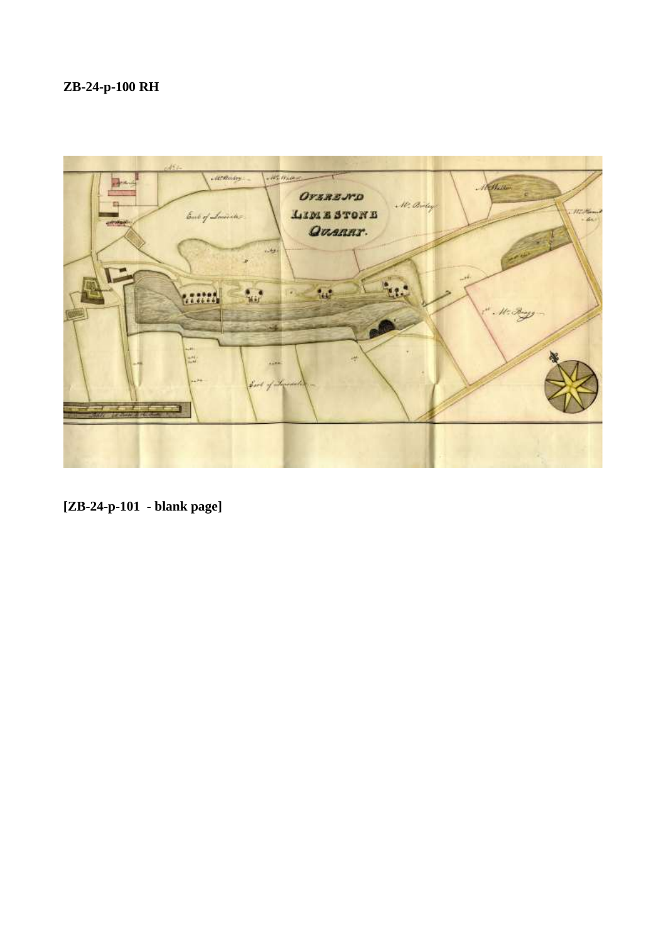# **ZB-24-p-100 RH**



**[ZB-24-p-101 - blank page]**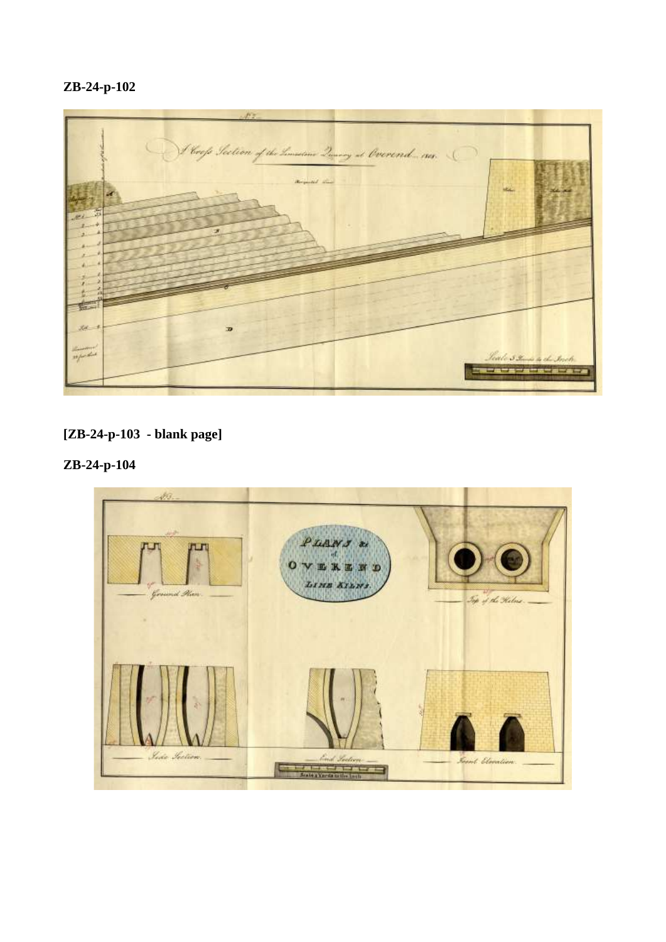## **ZB-24-p-102**



## **[ZB-24-p-103 - blank page]**

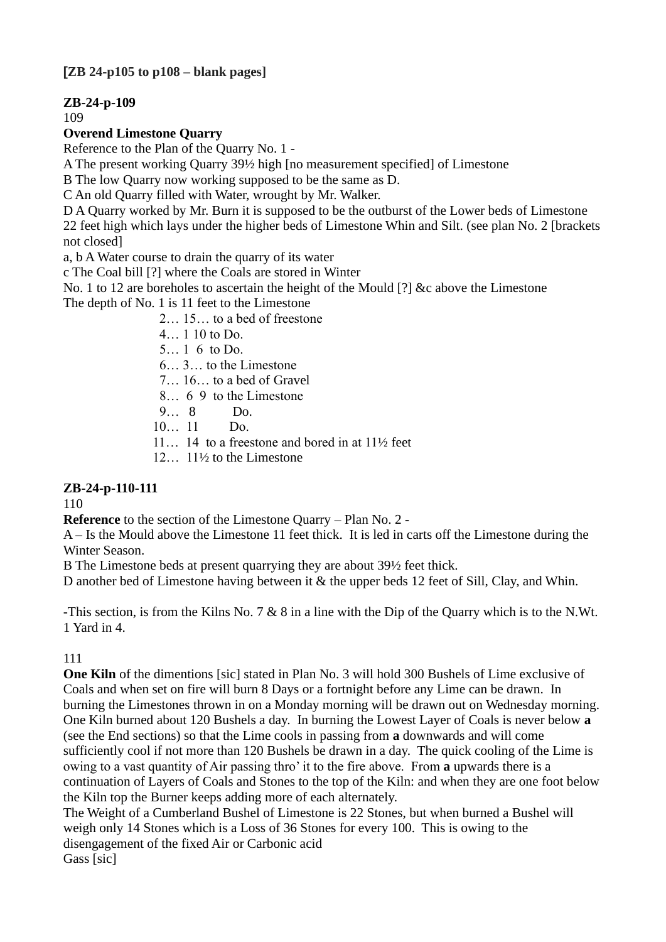## **[ZB 24-p105 to p108 – blank pages]**

## **ZB-24-p-109**

109

### **Overend Limestone Quarry**

Reference to the Plan of the Quarry No. 1 -

A The present working Quarry 39½ high [no measurement specified] of Limestone

B The low Quarry now working supposed to be the same as D.

C An old Quarry filled with Water, wrought by Mr. Walker.

D A Quarry worked by Mr. Burn it is supposed to be the outburst of the Lower beds of Limestone 22 feet high which lays under the higher beds of Limestone Whin and Silt. (see plan No. 2 [brackets not closed]

a, b A Water course to drain the quarry of its water

c The Coal bill [?] where the Coals are stored in Winter

No. 1 to 12 are boreholes to ascertain the height of the Mould [?] &c above the Limestone

The depth of No. 1 is 11 feet to the Limestone

2… 15… to a bed of freestone

4… 1 10 to Do.

5… 1 6 to Do.

6… 3… to the Limestone

7… 16… to a bed of Gravel

8… 6 9 to the Limestone

9… 8 Do.

10… 11 Do.

11… 14 to a freestone and bored in at 11½ feet

12… 11½ to the Limestone

## **ZB-24-p-110-111**

110

**Reference** to the section of the Limestone Quarry – Plan No. 2 -

A – Is the Mould above the Limestone 11 feet thick. It is led in carts off the Limestone during the Winter Season.

B The Limestone beds at present quarrying they are about 39½ feet thick.

D another bed of Limestone having between it & the upper beds 12 feet of Sill, Clay, and Whin.

-This section, is from the Kilns No. 7 & 8 in a line with the Dip of the Quarry which is to the N.Wt. 1 Yard in 4.

#### 111

**One Kiln** of the dimentions [sic] stated in Plan No. 3 will hold 300 Bushels of Lime exclusive of Coals and when set on fire will burn 8 Days or a fortnight before any Lime can be drawn. In burning the Limestones thrown in on a Monday morning will be drawn out on Wednesday morning. One Kiln burned about 120 Bushels a day. In burning the Lowest Layer of Coals is never below **a** (see the End sections) so that the Lime cools in passing from **a** downwards and will come sufficiently cool if not more than 120 Bushels be drawn in a day. The quick cooling of the Lime is owing to a vast quantity of Air passing thro' it to the fire above. From **a** upwards there is a continuation of Layers of Coals and Stones to the top of the Kiln: and when they are one foot below the Kiln top the Burner keeps adding more of each alternately.

The Weight of a Cumberland Bushel of Limestone is 22 Stones, but when burned a Bushel will weigh only 14 Stones which is a Loss of 36 Stones for every 100. This is owing to the disengagement of the fixed Air or Carbonic acid Gass [sic]